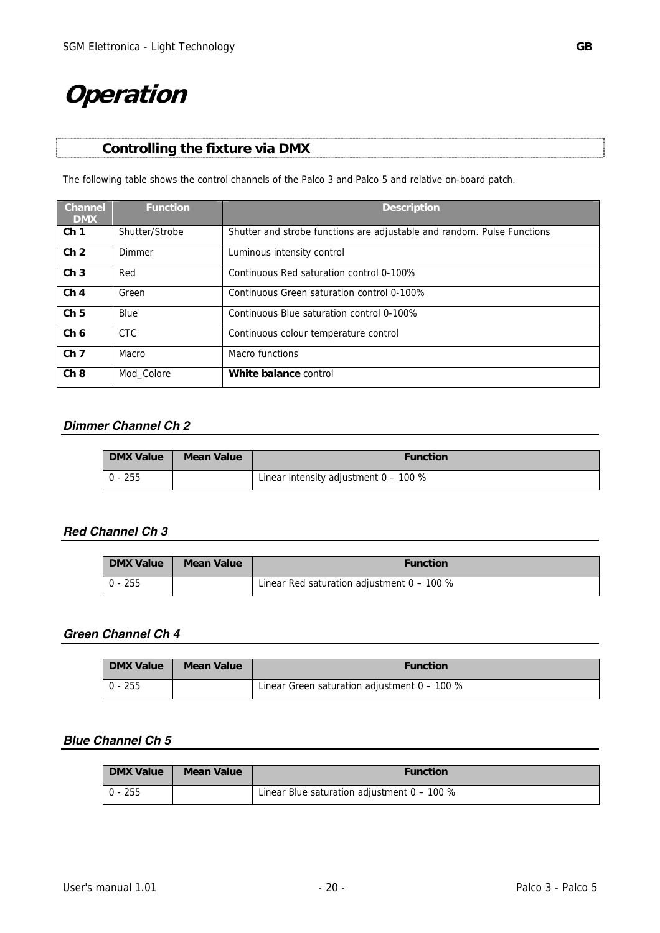# **Operation**

The following table shows the control channels of the Palco 3 and Palco 5 and relative on-board patch.

| <b>Channel</b><br><b>DMX</b> | <b>Function</b> | <b>Description</b>                                                      |
|------------------------------|-----------------|-------------------------------------------------------------------------|
| Ch <sub>1</sub>              | Shutter/Strobe  | Shutter and strobe functions are adjustable and random. Pulse Functions |
| Ch <sub>2</sub>              | Dimmer          | Luminous intensity control                                              |
| Ch <sub>3</sub>              | Red             | Continuous Red saturation control 0-100%                                |
| Ch <sub>4</sub>              | Green           | Continuous Green saturation control 0-100%                              |
| Ch <sub>5</sub>              | Blue            | Continuous Blue saturation control 0-100%                               |
| Ch <sub>6</sub>              | <b>CTC</b>      | Continuous colour temperature control                                   |
| Ch <sub>7</sub>              | Macro           | Macro functions                                                         |
| Ch8                          | Mod Colore      | White balance control                                                   |

## *Dimmer Channel Ch 2*

| <b>DMX Value</b> | Mean Value | <b>Function</b>                         |
|------------------|------------|-----------------------------------------|
| $0 - 255$        |            | Linear intensity adjustment $0 - 100$ % |

## *Red Channel Ch 3*

| <b>DMX Value</b> | Mean Value | <b>Function</b>                              |
|------------------|------------|----------------------------------------------|
| $0 - 255$        |            | Linear Red saturation adjustment $0 - 100$ % |

## *Green Channel Ch 4*

| <b>DMX Value</b> | Mean Value | <b>Function</b>                                |
|------------------|------------|------------------------------------------------|
| $  0 - 255$      |            | Linear Green saturation adjustment $0 - 100$ % |

#### *Blue Channel Ch 5*

| <b>DMX Value</b> | Mean Value | <b>Function</b>                               |
|------------------|------------|-----------------------------------------------|
| $0 - 255$        |            | Linear Blue saturation adjustment $0 - 100$ % |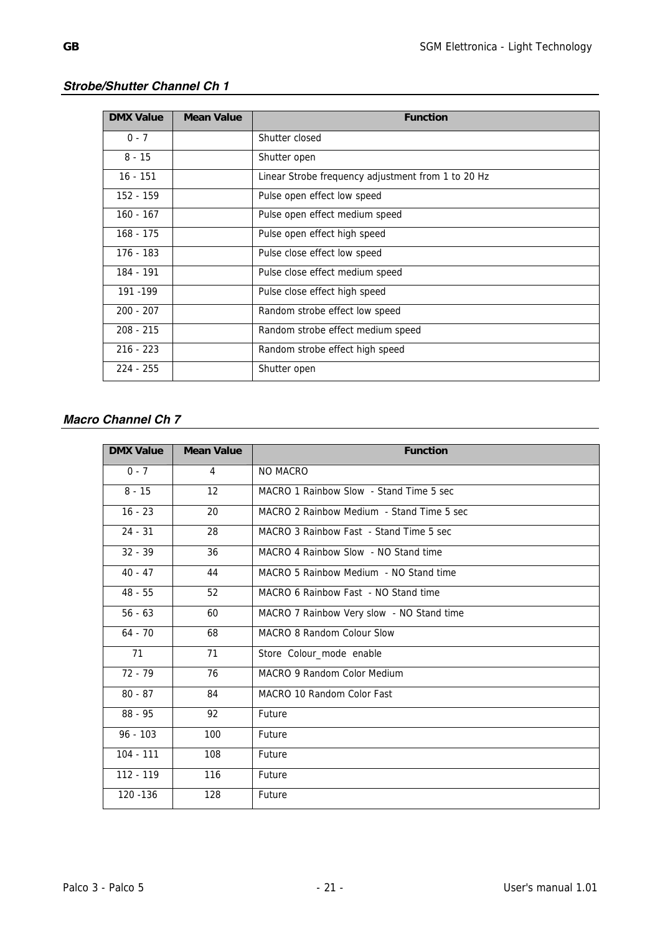| <b>DMX Value</b> | <b>Mean Value</b> | <b>Function</b>                                    |
|------------------|-------------------|----------------------------------------------------|
| $0 - 7$          |                   | Shutter closed                                     |
| $8 - 15$         |                   | Shutter open                                       |
| $16 - 151$       |                   | Linear Strobe frequency adjustment from 1 to 20 Hz |
| 152 - 159        |                   | Pulse open effect low speed                        |
| $160 - 167$      |                   | Pulse open effect medium speed                     |
| 168 - 175        |                   | Pulse open effect high speed                       |
| 176 - 183        |                   | Pulse close effect low speed                       |
| 184 - 191        |                   | Pulse close effect medium speed                    |
| 191 - 199        |                   | Pulse close effect high speed                      |
| $200 - 207$      |                   | Random strobe effect low speed                     |
| $208 - 215$      |                   | Random strobe effect medium speed                  |
| $216 - 223$      |                   | Random strobe effect high speed                    |
| $224 - 255$      |                   | Shutter open                                       |

# *Strobe/Shutter Channel Ch 1*

# *Macro Channel Ch 7*

| <b>DMX Value</b> | <b>Mean Value</b> | <b>Function</b>                           |
|------------------|-------------------|-------------------------------------------|
| $0 - 7$          | $\overline{4}$    | NO MACRO                                  |
| $8 - 15$         | 12                | MACRO 1 Rainbow Slow - Stand Time 5 sec   |
| $16 - 23$        | 20                | MACRO 2 Rainbow Medium - Stand Time 5 sec |
| $24 - 31$        | 28                | MACRO 3 Rainbow Fast - Stand Time 5 sec   |
| $32 - 39$        | 36                | MACRO 4 Rainbow Slow - NO Stand time      |
| $40 - 47$        | 44                | MACRO 5 Rainbow Medium - NO Stand time    |
| $48 - 55$        | 52                | MACRO 6 Rainbow Fast - NO Stand time      |
| $56 - 63$        | 60                | MACRO 7 Rainbow Very slow - NO Stand time |
| $64 - 70$        | 68                | MACRO 8 Random Colour Slow                |
| 71               | 71                | Store Colour_mode enable                  |
| $72 - 79$        | 76                | MACRO 9 Random Color Medium               |
| $80 - 87$        | 84                | MACRO 10 Random Color Fast                |
| $88 - 95$        | 92                | Future                                    |
| $96 - 103$       | 100               | Future                                    |
| $104 - 111$      | 108               | Future                                    |
| 112 - 119        | 116               | Future                                    |
| 120 - 136        | 128               | Future                                    |